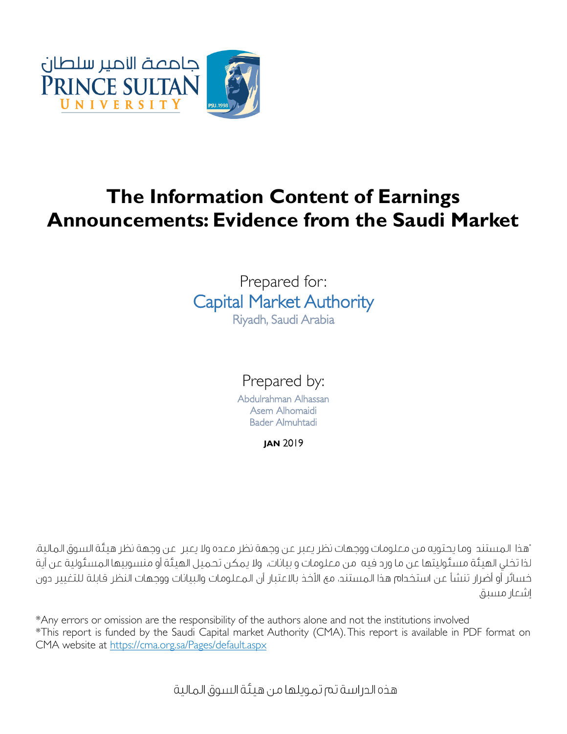

# **The Information Content of Earnings Announcements: Evidence from the Saudi Market**

# Prepared for: Capital Market Authority Riyadh, Saudi Arabia

Prepared by:

Abdulrahman Alhassan Asem Alhomaidi Bader Almuhtadi

**JAN** 2019

"هذا المستند. وما يحتويه من معلومات ووجهات نظر يعبر عن وجهة نظر معده ولا يعبر. عن وجهة نظر هيئة السوق المالية، لذا تخلى الهيئة مسئوليتها عن ما ورد فيه "من معلومات و بيانات، "ولا يمكن تحميل الهيئة أو منسوبيها المسئولية عن أية خسائر أو أضرار تنشأ عن استخدام هذا المستند، مع الأخذ بالاعتبار أن المعلومات والبيانات ووجهات النظر قابلة للتغيير دون اشعار مىسىق

\*Any errors or omission are the responsibility of the authors alone and not the institutions involved \*This report is funded by the Saudi Capital market Authority (CMA). This report is available in PDF format on CMA website at<https://cma.org.sa/Pages/default.aspx>

هذه الدر اسة تم تمويلها من هيئة السوق المالية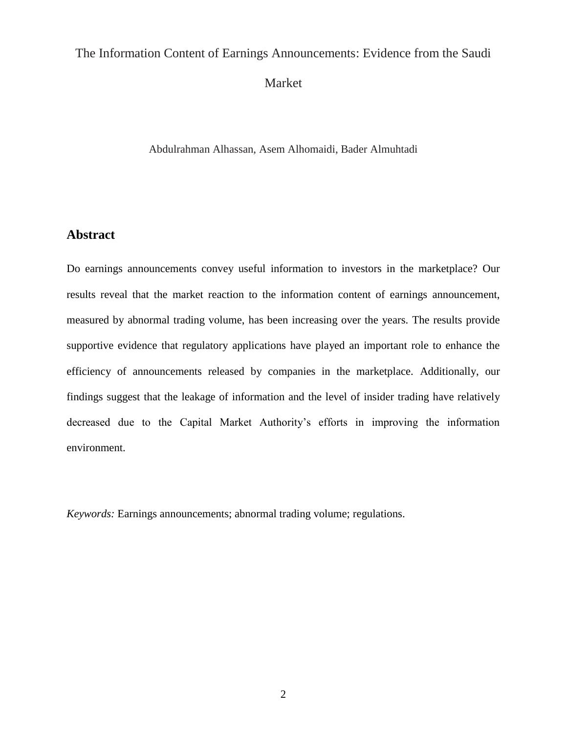# The Information Content of Earnings Announcements: Evidence from the Saudi

Market

Abdulrahman Alhassan, Asem Alhomaidi, Bader Almuhtadi

## **Abstract**

Do earnings announcements convey useful information to investors in the marketplace? Our results reveal that the market reaction to the information content of earnings announcement, measured by abnormal trading volume, has been increasing over the years. The results provide supportive evidence that regulatory applications have played an important role to enhance the efficiency of announcements released by companies in the marketplace. Additionally, our findings suggest that the leakage of information and the level of insider trading have relatively decreased due to the Capital Market Authority's efforts in improving the information environment.

*Keywords:* Earnings announcements; abnormal trading volume; regulations.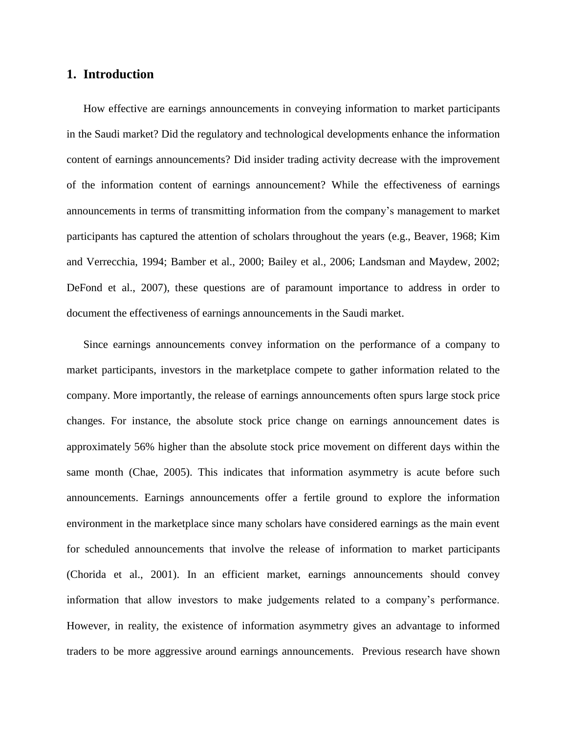#### **1. Introduction**

How effective are earnings announcements in conveying information to market participants in the Saudi market? Did the regulatory and technological developments enhance the information content of earnings announcements? Did insider trading activity decrease with the improvement of the information content of earnings announcement? While the effectiveness of earnings announcements in terms of transmitting information from the company's management to market participants has captured the attention of scholars throughout the years (e.g., Beaver, 1968; Kim and Verrecchia, 1994; Bamber et al., 2000; Bailey et al., 2006; Landsman and Maydew, 2002; DeFond et al., 2007), these questions are of paramount importance to address in order to document the effectiveness of earnings announcements in the Saudi market.

Since earnings announcements convey information on the performance of a company to market participants, investors in the marketplace compete to gather information related to the company. More importantly, the release of earnings announcements often spurs large stock price changes. For instance, the absolute stock price change on earnings announcement dates is approximately 56% higher than the absolute stock price movement on different days within the same month (Chae, 2005). This indicates that information asymmetry is acute before such announcements. Earnings announcements offer a fertile ground to explore the information environment in the marketplace since many scholars have considered earnings as the main event for scheduled announcements that involve the release of information to market participants (Chorida et al., 2001). In an efficient market, earnings announcements should convey information that allow investors to make judgements related to a company's performance. However, in reality, the existence of information asymmetry gives an advantage to informed traders to be more aggressive around earnings announcements. Previous research have shown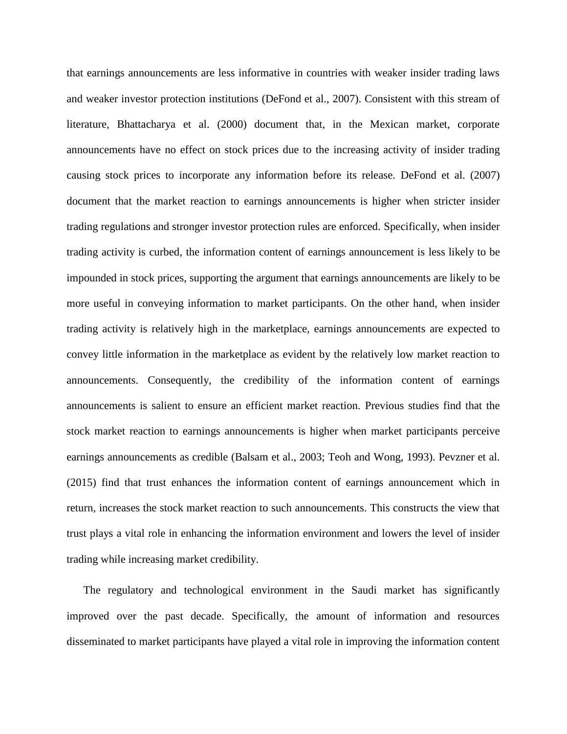that earnings announcements are less informative in countries with weaker insider trading laws and weaker investor protection institutions (DeFond et al., 2007). Consistent with this stream of literature, Bhattacharya et al. (2000) document that, in the Mexican market, corporate announcements have no effect on stock prices due to the increasing activity of insider trading causing stock prices to incorporate any information before its release. DeFond et al. (2007) document that the market reaction to earnings announcements is higher when stricter insider trading regulations and stronger investor protection rules are enforced. Specifically, when insider trading activity is curbed, the information content of earnings announcement is less likely to be impounded in stock prices, supporting the argument that earnings announcements are likely to be more useful in conveying information to market participants. On the other hand, when insider trading activity is relatively high in the marketplace, earnings announcements are expected to convey little information in the marketplace as evident by the relatively low market reaction to announcements. Consequently, the credibility of the information content of earnings announcements is salient to ensure an efficient market reaction. Previous studies find that the stock market reaction to earnings announcements is higher when market participants perceive earnings announcements as credible (Balsam et al., 2003; Teoh and Wong, 1993). Pevzner et al. (2015) find that trust enhances the information content of earnings announcement which in return, increases the stock market reaction to such announcements. This constructs the view that trust plays a vital role in enhancing the information environment and lowers the level of insider trading while increasing market credibility.

The regulatory and technological environment in the Saudi market has significantly improved over the past decade. Specifically, the amount of information and resources disseminated to market participants have played a vital role in improving the information content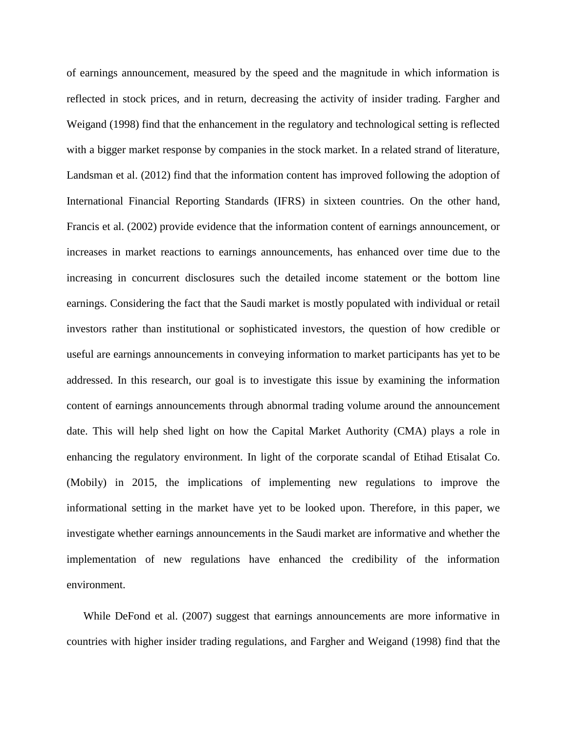of earnings announcement, measured by the speed and the magnitude in which information is reflected in stock prices, and in return, decreasing the activity of insider trading. Fargher and Weigand (1998) find that the enhancement in the regulatory and technological setting is reflected with a bigger market response by companies in the stock market. In a related strand of literature, Landsman et al. (2012) find that the information content has improved following the adoption of International Financial Reporting Standards (IFRS) in sixteen countries. On the other hand, Francis et al. (2002) provide evidence that the information content of earnings announcement, or increases in market reactions to earnings announcements, has enhanced over time due to the increasing in concurrent disclosures such the detailed income statement or the bottom line earnings. Considering the fact that the Saudi market is mostly populated with individual or retail investors rather than institutional or sophisticated investors, the question of how credible or useful are earnings announcements in conveying information to market participants has yet to be addressed. In this research, our goal is to investigate this issue by examining the information content of earnings announcements through abnormal trading volume around the announcement date. This will help shed light on how the Capital Market Authority (CMA) plays a role in enhancing the regulatory environment. In light of the corporate scandal of Etihad Etisalat Co. (Mobily) in 2015, the implications of implementing new regulations to improve the informational setting in the market have yet to be looked upon. Therefore, in this paper, we investigate whether earnings announcements in the Saudi market are informative and whether the implementation of new regulations have enhanced the credibility of the information environment.

While DeFond et al. (2007) suggest that earnings announcements are more informative in countries with higher insider trading regulations, and Fargher and Weigand (1998) find that the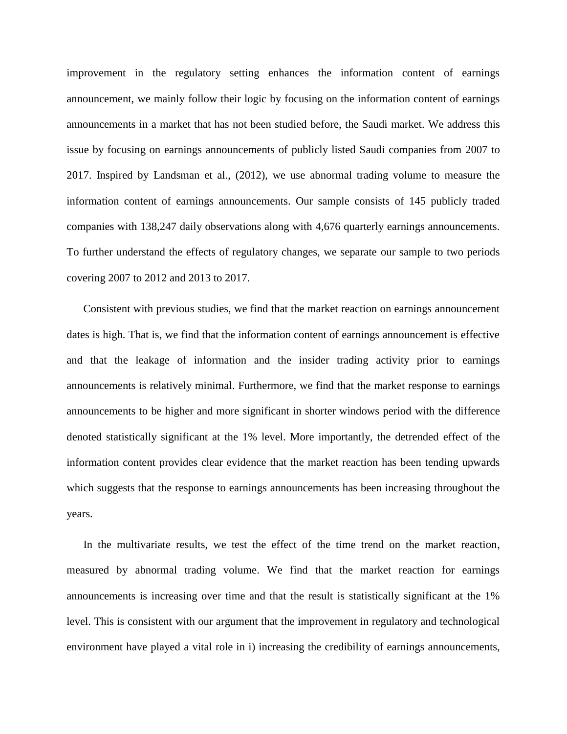improvement in the regulatory setting enhances the information content of earnings announcement, we mainly follow their logic by focusing on the information content of earnings announcements in a market that has not been studied before, the Saudi market. We address this issue by focusing on earnings announcements of publicly listed Saudi companies from 2007 to 2017. Inspired by Landsman et al., (2012), we use abnormal trading volume to measure the information content of earnings announcements. Our sample consists of 145 publicly traded companies with 138,247 daily observations along with 4,676 quarterly earnings announcements. To further understand the effects of regulatory changes, we separate our sample to two periods covering 2007 to 2012 and 2013 to 2017.

Consistent with previous studies, we find that the market reaction on earnings announcement dates is high. That is, we find that the information content of earnings announcement is effective and that the leakage of information and the insider trading activity prior to earnings announcements is relatively minimal. Furthermore, we find that the market response to earnings announcements to be higher and more significant in shorter windows period with the difference denoted statistically significant at the 1% level. More importantly, the detrended effect of the information content provides clear evidence that the market reaction has been tending upwards which suggests that the response to earnings announcements has been increasing throughout the years.

In the multivariate results, we test the effect of the time trend on the market reaction, measured by abnormal trading volume. We find that the market reaction for earnings announcements is increasing over time and that the result is statistically significant at the 1% level. This is consistent with our argument that the improvement in regulatory and technological environment have played a vital role in i) increasing the credibility of earnings announcements,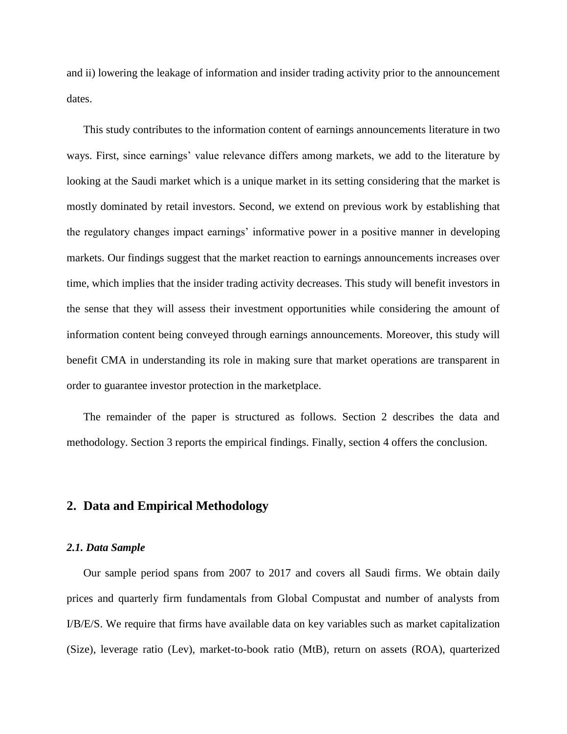and ii) lowering the leakage of information and insider trading activity prior to the announcement dates.

This study contributes to the information content of earnings announcements literature in two ways. First, since earnings' value relevance differs among markets, we add to the literature by looking at the Saudi market which is a unique market in its setting considering that the market is mostly dominated by retail investors. Second, we extend on previous work by establishing that the regulatory changes impact earnings' informative power in a positive manner in developing markets. Our findings suggest that the market reaction to earnings announcements increases over time, which implies that the insider trading activity decreases. This study will benefit investors in the sense that they will assess their investment opportunities while considering the amount of information content being conveyed through earnings announcements. Moreover, this study will benefit CMA in understanding its role in making sure that market operations are transparent in order to guarantee investor protection in the marketplace.

The remainder of the paper is structured as follows. Section 2 describes the data and methodology. Section 3 reports the empirical findings. Finally, section 4 offers the conclusion.

#### **2. Data and Empirical Methodology**

#### *2.1. Data Sample*

Our sample period spans from 2007 to 2017 and covers all Saudi firms. We obtain daily prices and quarterly firm fundamentals from Global Compustat and number of analysts from I/B/E/S. We require that firms have available data on key variables such as market capitalization (Size), leverage ratio (Lev), market-to-book ratio (MtB), return on assets (ROA), quarterized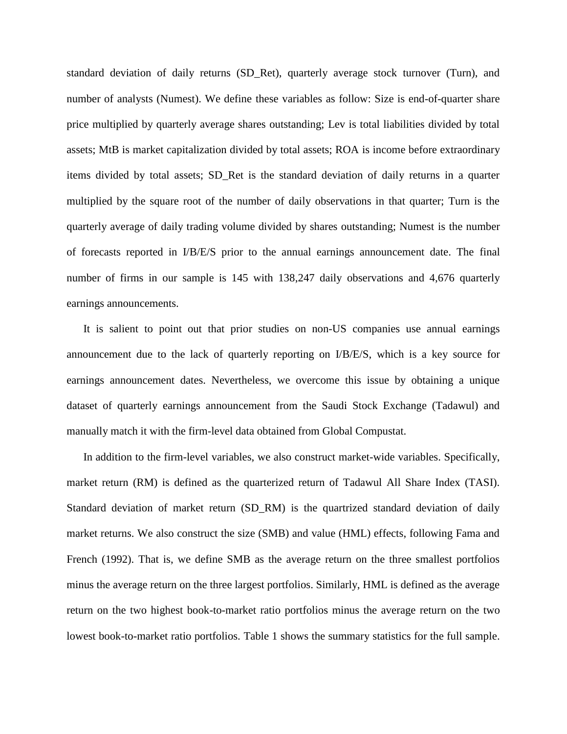standard deviation of daily returns (SD\_Ret), quarterly average stock turnover (Turn), and number of analysts (Numest). We define these variables as follow: Size is end-of-quarter share price multiplied by quarterly average shares outstanding; Lev is total liabilities divided by total assets; MtB is market capitalization divided by total assets; ROA is income before extraordinary items divided by total assets; SD\_Ret is the standard deviation of daily returns in a quarter multiplied by the square root of the number of daily observations in that quarter; Turn is the quarterly average of daily trading volume divided by shares outstanding; Numest is the number of forecasts reported in I/B/E/S prior to the annual earnings announcement date. The final number of firms in our sample is 145 with 138,247 daily observations and 4,676 quarterly earnings announcements.

It is salient to point out that prior studies on non-US companies use annual earnings announcement due to the lack of quarterly reporting on I/B/E/S, which is a key source for earnings announcement dates. Nevertheless, we overcome this issue by obtaining a unique dataset of quarterly earnings announcement from the Saudi Stock Exchange (Tadawul) and manually match it with the firm-level data obtained from Global Compustat.

In addition to the firm-level variables, we also construct market-wide variables. Specifically, market return (RM) is defined as the quarterized return of Tadawul All Share Index (TASI). Standard deviation of market return (SD\_RM) is the quartrized standard deviation of daily market returns. We also construct the size (SMB) and value (HML) effects, following Fama and French (1992). That is, we define SMB as the average return on the three smallest portfolios minus the average return on the three largest portfolios. Similarly, HML is defined as the average return on the two highest book-to-market ratio portfolios minus the average return on the two lowest book-to-market ratio portfolios. Table 1 shows the summary statistics for the full sample.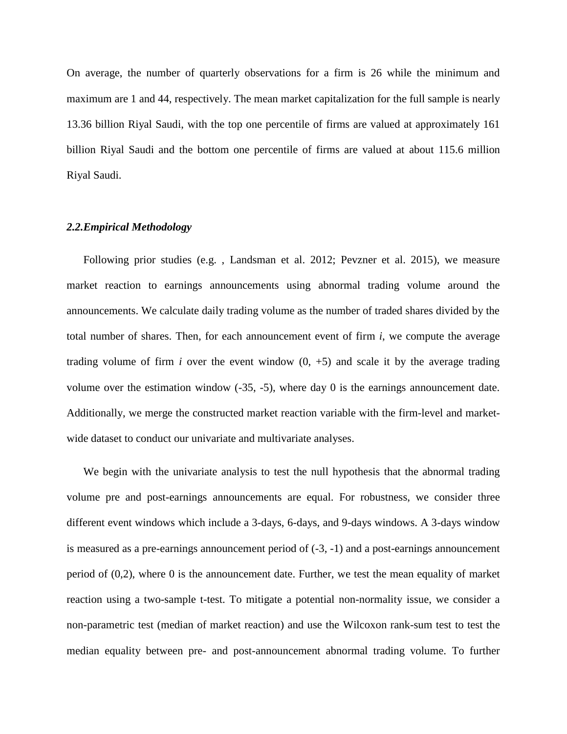On average, the number of quarterly observations for a firm is 26 while the minimum and maximum are 1 and 44, respectively. The mean market capitalization for the full sample is nearly 13.36 billion Riyal Saudi, with the top one percentile of firms are valued at approximately 161 billion Riyal Saudi and the bottom one percentile of firms are valued at about 115.6 million Riyal Saudi.

#### *2.2.Empirical Methodology*

Following prior studies (e.g. , Landsman et al. 2012; Pevzner et al. 2015), we measure market reaction to earnings announcements using abnormal trading volume around the announcements. We calculate daily trading volume as the number of traded shares divided by the total number of shares. Then, for each announcement event of firm *i*, we compute the average trading volume of firm *i* over the event window  $(0, +5)$  and scale it by the average trading volume over the estimation window (-35, -5), where day 0 is the earnings announcement date. Additionally, we merge the constructed market reaction variable with the firm-level and marketwide dataset to conduct our univariate and multivariate analyses.

We begin with the univariate analysis to test the null hypothesis that the abnormal trading volume pre and post-earnings announcements are equal. For robustness, we consider three different event windows which include a 3-days, 6-days, and 9-days windows. A 3-days window is measured as a pre-earnings announcement period of (-3, -1) and a post-earnings announcement period of (0,2), where 0 is the announcement date. Further, we test the mean equality of market reaction using a two-sample t-test. To mitigate a potential non-normality issue, we consider a non-parametric test (median of market reaction) and use the Wilcoxon rank-sum test to test the median equality between pre- and post-announcement abnormal trading volume. To further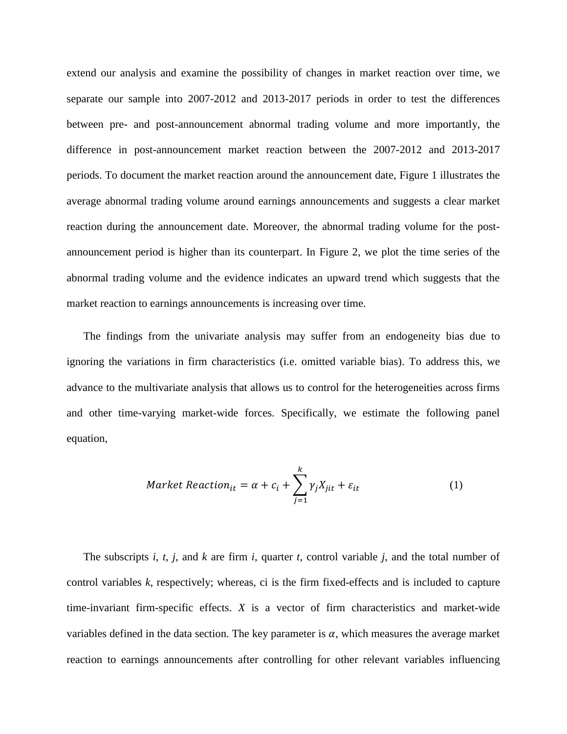extend our analysis and examine the possibility of changes in market reaction over time, we separate our sample into 2007-2012 and 2013-2017 periods in order to test the differences between pre- and post-announcement abnormal trading volume and more importantly, the difference in post-announcement market reaction between the 2007-2012 and 2013-2017 periods. To document the market reaction around the announcement date, Figure 1 illustrates the average abnormal trading volume around earnings announcements and suggests a clear market reaction during the announcement date. Moreover, the abnormal trading volume for the postannouncement period is higher than its counterpart. In Figure 2, we plot the time series of the abnormal trading volume and the evidence indicates an upward trend which suggests that the market reaction to earnings announcements is increasing over time.

The findings from the univariate analysis may suffer from an endogeneity bias due to ignoring the variations in firm characteristics (i.e. omitted variable bias). To address this, we advance to the multivariate analysis that allows us to control for the heterogeneities across firms and other time-varying market-wide forces. Specifically, we estimate the following panel equation,

$$
Market\, Reaction_{it} = \alpha + c_i + \sum_{j=1}^{k} \gamma_j X_{jit} + \varepsilon_{it}
$$
 (1)

The subscripts *i*, *t*, *j*, and *k* are firm *i*, quarter *t*, control variable *j*, and the total number of control variables *k*, respectively; whereas, ci is the firm fixed-effects and is included to capture time-invariant firm-specific effects. *X* is a vector of firm characteristics and market-wide variables defined in the data section. The key parameter is  $\alpha$ , which measures the average market reaction to earnings announcements after controlling for other relevant variables influencing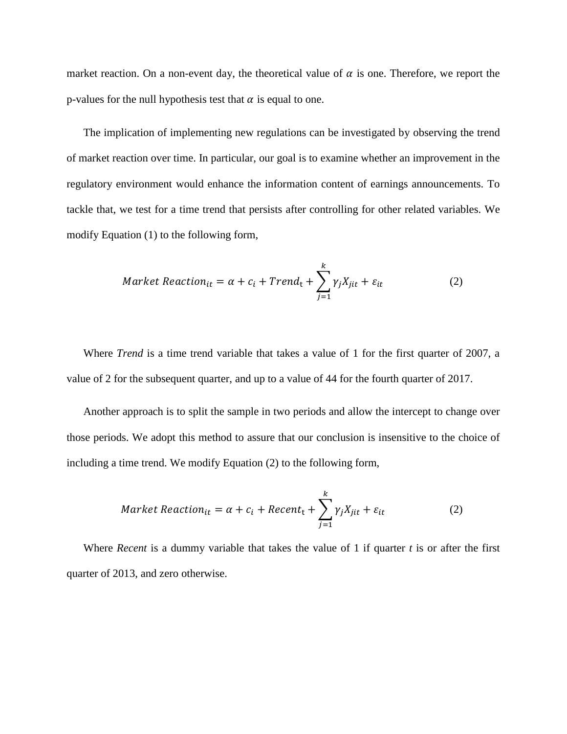market reaction. On a non-event day, the theoretical value of  $\alpha$  is one. Therefore, we report the p-values for the null hypothesis test that  $\alpha$  is equal to one.

The implication of implementing new regulations can be investigated by observing the trend of market reaction over time. In particular, our goal is to examine whether an improvement in the regulatory environment would enhance the information content of earnings announcements. To tackle that, we test for a time trend that persists after controlling for other related variables. We modify Equation (1) to the following form,

$$
Market\, Reaction_{it} = \alpha + c_i + Trend_t + \sum_{j=1}^{k} \gamma_j X_{jit} + \varepsilon_{it}
$$
 (2)

Where *Trend* is a time trend variable that takes a value of 1 for the first quarter of 2007, a value of 2 for the subsequent quarter, and up to a value of 44 for the fourth quarter of 2017.

Another approach is to split the sample in two periods and allow the intercept to change over those periods. We adopt this method to assure that our conclusion is insensitive to the choice of including a time trend. We modify Equation (2) to the following form,

$$
Market\, Reaction_{it} = \alpha + c_i + Recent_t + \sum_{j=1}^{k} \gamma_j X_{jit} + \varepsilon_{it}
$$
 (2)

Where *Recent* is a dummy variable that takes the value of 1 if quarter *t* is or after the first quarter of 2013, and zero otherwise.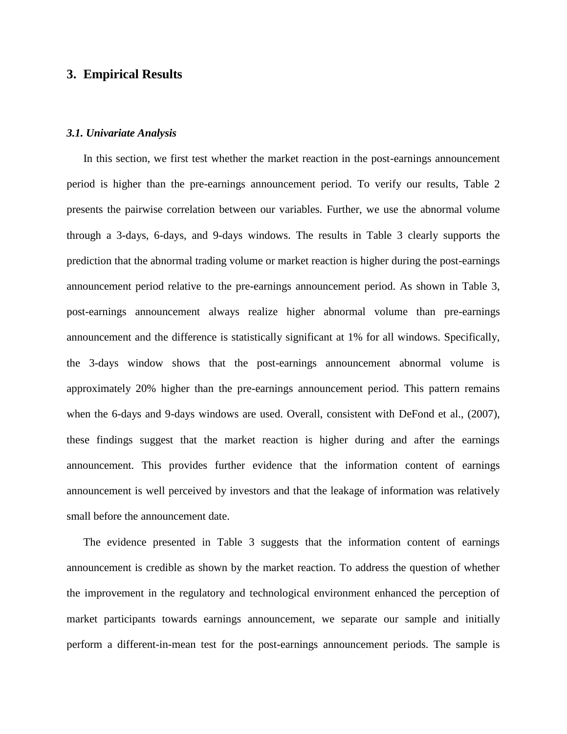#### **3. Empirical Results**

#### *3.1. Univariate Analysis*

In this section, we first test whether the market reaction in the post-earnings announcement period is higher than the pre-earnings announcement period. To verify our results, Table 2 presents the pairwise correlation between our variables. Further, we use the abnormal volume through a 3-days, 6-days, and 9-days windows. The results in Table 3 clearly supports the prediction that the abnormal trading volume or market reaction is higher during the post-earnings announcement period relative to the pre-earnings announcement period. As shown in Table 3, post-earnings announcement always realize higher abnormal volume than pre-earnings announcement and the difference is statistically significant at 1% for all windows. Specifically, the 3-days window shows that the post-earnings announcement abnormal volume is approximately 20% higher than the pre-earnings announcement period. This pattern remains when the 6-days and 9-days windows are used. Overall, consistent with DeFond et al., (2007), these findings suggest that the market reaction is higher during and after the earnings announcement. This provides further evidence that the information content of earnings announcement is well perceived by investors and that the leakage of information was relatively small before the announcement date.

The evidence presented in Table 3 suggests that the information content of earnings announcement is credible as shown by the market reaction. To address the question of whether the improvement in the regulatory and technological environment enhanced the perception of market participants towards earnings announcement, we separate our sample and initially perform a different-in-mean test for the post-earnings announcement periods. The sample is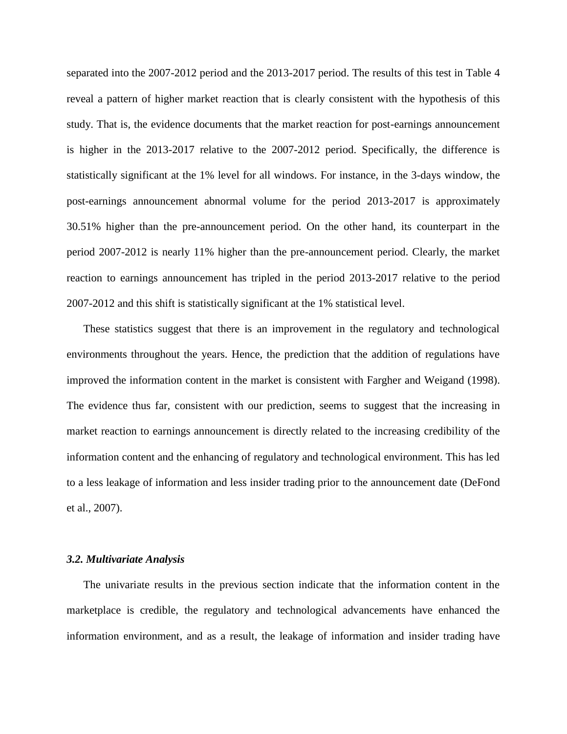separated into the 2007-2012 period and the 2013-2017 period. The results of this test in Table 4 reveal a pattern of higher market reaction that is clearly consistent with the hypothesis of this study. That is, the evidence documents that the market reaction for post-earnings announcement is higher in the 2013-2017 relative to the 2007-2012 period. Specifically, the difference is statistically significant at the 1% level for all windows. For instance, in the 3-days window, the post-earnings announcement abnormal volume for the period 2013-2017 is approximately 30.51% higher than the pre-announcement period. On the other hand, its counterpart in the period 2007-2012 is nearly 11% higher than the pre-announcement period. Clearly, the market reaction to earnings announcement has tripled in the period 2013-2017 relative to the period 2007-2012 and this shift is statistically significant at the 1% statistical level.

These statistics suggest that there is an improvement in the regulatory and technological environments throughout the years. Hence, the prediction that the addition of regulations have improved the information content in the market is consistent with Fargher and Weigand (1998). The evidence thus far, consistent with our prediction, seems to suggest that the increasing in market reaction to earnings announcement is directly related to the increasing credibility of the information content and the enhancing of regulatory and technological environment. This has led to a less leakage of information and less insider trading prior to the announcement date (DeFond et al., 2007).

#### *3.2. Multivariate Analysis*

The univariate results in the previous section indicate that the information content in the marketplace is credible, the regulatory and technological advancements have enhanced the information environment, and as a result, the leakage of information and insider trading have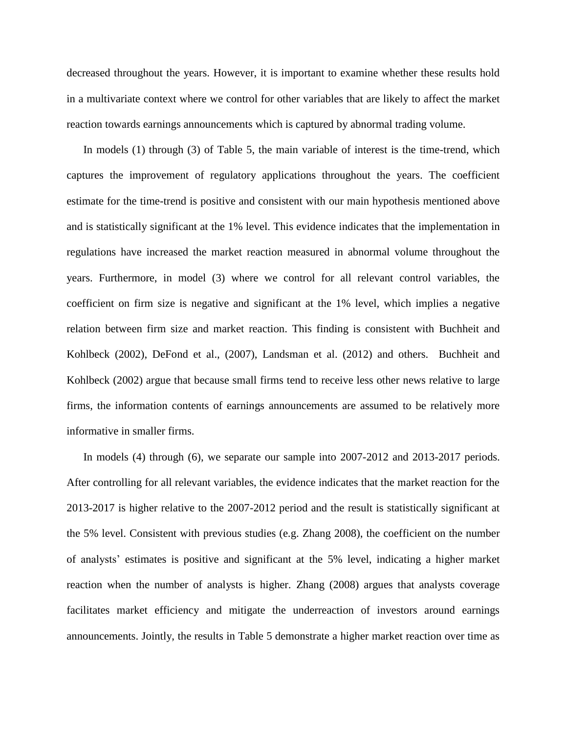decreased throughout the years. However, it is important to examine whether these results hold in a multivariate context where we control for other variables that are likely to affect the market reaction towards earnings announcements which is captured by abnormal trading volume.

In models (1) through (3) of Table 5, the main variable of interest is the time-trend, which captures the improvement of regulatory applications throughout the years. The coefficient estimate for the time-trend is positive and consistent with our main hypothesis mentioned above and is statistically significant at the 1% level. This evidence indicates that the implementation in regulations have increased the market reaction measured in abnormal volume throughout the years. Furthermore, in model (3) where we control for all relevant control variables, the coefficient on firm size is negative and significant at the 1% level, which implies a negative relation between firm size and market reaction. This finding is consistent with Buchheit and Kohlbeck (2002), DeFond et al., (2007), Landsman et al. (2012) and others. Buchheit and Kohlbeck (2002) argue that because small firms tend to receive less other news relative to large firms, the information contents of earnings announcements are assumed to be relatively more informative in smaller firms.

In models (4) through (6), we separate our sample into 2007-2012 and 2013-2017 periods. After controlling for all relevant variables, the evidence indicates that the market reaction for the 2013-2017 is higher relative to the 2007-2012 period and the result is statistically significant at the 5% level. Consistent with previous studies (e.g. Zhang 2008), the coefficient on the number of analysts' estimates is positive and significant at the 5% level, indicating a higher market reaction when the number of analysts is higher. Zhang (2008) argues that analysts coverage facilitates market efficiency and mitigate the underreaction of investors around earnings announcements. Jointly, the results in Table 5 demonstrate a higher market reaction over time as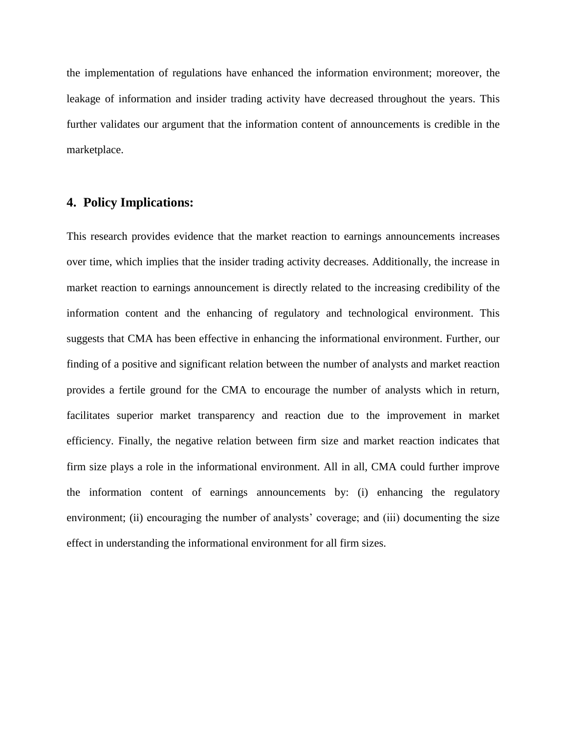the implementation of regulations have enhanced the information environment; moreover, the leakage of information and insider trading activity have decreased throughout the years. This further validates our argument that the information content of announcements is credible in the marketplace.

## **4. Policy Implications:**

This research provides evidence that the market reaction to earnings announcements increases over time, which implies that the insider trading activity decreases. Additionally, the increase in market reaction to earnings announcement is directly related to the increasing credibility of the information content and the enhancing of regulatory and technological environment. This suggests that CMA has been effective in enhancing the informational environment. Further, our finding of a positive and significant relation between the number of analysts and market reaction provides a fertile ground for the CMA to encourage the number of analysts which in return, facilitates superior market transparency and reaction due to the improvement in market efficiency. Finally, the negative relation between firm size and market reaction indicates that firm size plays a role in the informational environment. All in all, CMA could further improve the information content of earnings announcements by: (i) enhancing the regulatory environment; (ii) encouraging the number of analysts' coverage; and (iii) documenting the size effect in understanding the informational environment for all firm sizes.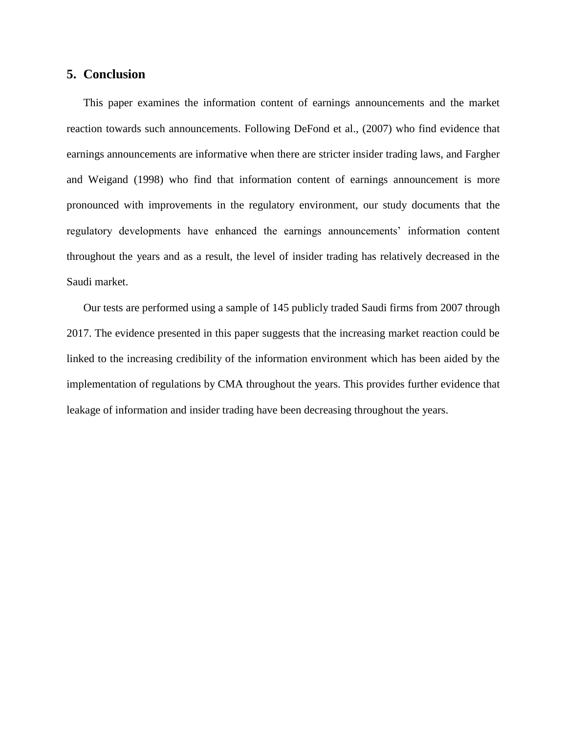#### **5. Conclusion**

This paper examines the information content of earnings announcements and the market reaction towards such announcements. Following DeFond et al., (2007) who find evidence that earnings announcements are informative when there are stricter insider trading laws, and Fargher and Weigand (1998) who find that information content of earnings announcement is more pronounced with improvements in the regulatory environment, our study documents that the regulatory developments have enhanced the earnings announcements' information content throughout the years and as a result, the level of insider trading has relatively decreased in the Saudi market.

Our tests are performed using a sample of 145 publicly traded Saudi firms from 2007 through 2017. The evidence presented in this paper suggests that the increasing market reaction could be linked to the increasing credibility of the information environment which has been aided by the implementation of regulations by CMA throughout the years. This provides further evidence that leakage of information and insider trading have been decreasing throughout the years.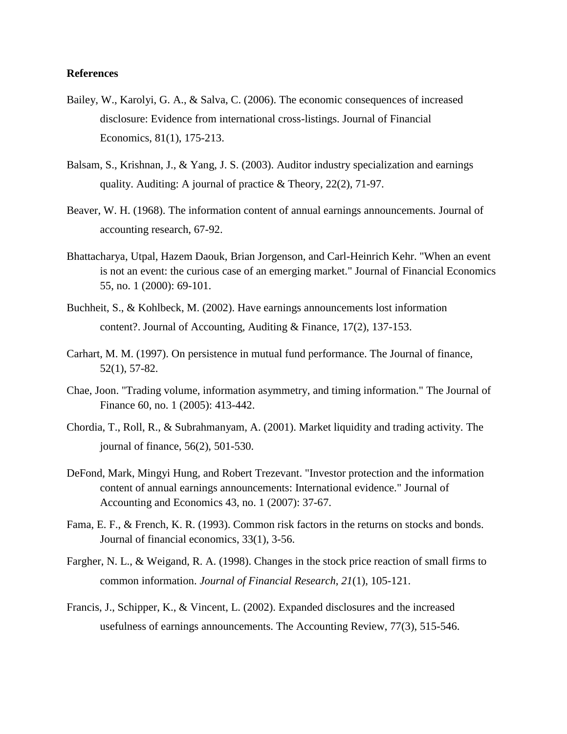#### **References**

- Bailey, W., Karolyi, G. A., & Salva, C. (2006). The economic consequences of increased disclosure: Evidence from international cross-listings. Journal of Financial Economics, 81(1), 175-213.
- Balsam, S., Krishnan, J., & Yang, J. S. (2003). Auditor industry specialization and earnings quality. Auditing: A journal of practice & Theory, 22(2), 71-97.
- Beaver, W. H. (1968). The information content of annual earnings announcements. Journal of accounting research, 67-92.
- Bhattacharya, Utpal, Hazem Daouk, Brian Jorgenson, and Carl-Heinrich Kehr. "When an event is not an event: the curious case of an emerging market." Journal of Financial Economics 55, no. 1 (2000): 69-101.
- Buchheit, S., & Kohlbeck, M. (2002). Have earnings announcements lost information content?. Journal of Accounting, Auditing & Finance, 17(2), 137-153.
- Carhart, M. M. (1997). On persistence in mutual fund performance. The Journal of finance, 52(1), 57-82.
- Chae, Joon. "Trading volume, information asymmetry, and timing information." The Journal of Finance 60, no. 1 (2005): 413-442.
- Chordia, T., Roll, R., & Subrahmanyam, A. (2001). Market liquidity and trading activity. The journal of finance, 56(2), 501-530.
- DeFond, Mark, Mingyi Hung, and Robert Trezevant. "Investor protection and the information content of annual earnings announcements: International evidence." Journal of Accounting and Economics 43, no. 1 (2007): 37-67.
- Fama, E. F., & French, K. R. (1993). Common risk factors in the returns on stocks and bonds. Journal of financial economics, 33(1), 3-56.
- Fargher, N. L., & Weigand, R. A. (1998). Changes in the stock price reaction of small firms to common information. *Journal of Financial Research*, *21*(1), 105-121.
- Francis, J., Schipper, K., & Vincent, L. (2002). Expanded disclosures and the increased usefulness of earnings announcements. The Accounting Review, 77(3), 515-546.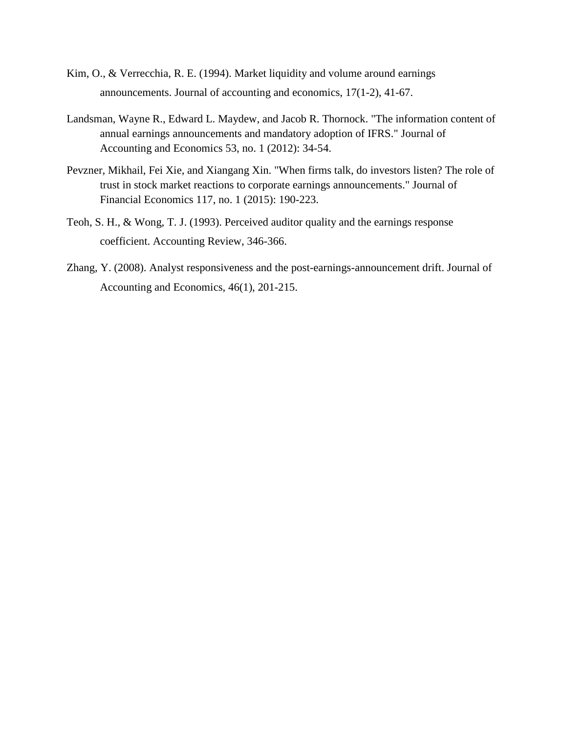- Kim, O., & Verrecchia, R. E. (1994). Market liquidity and volume around earnings announcements. Journal of accounting and economics, 17(1-2), 41-67.
- Landsman, Wayne R., Edward L. Maydew, and Jacob R. Thornock. "The information content of annual earnings announcements and mandatory adoption of IFRS." Journal of Accounting and Economics 53, no. 1 (2012): 34-54.
- Pevzner, Mikhail, Fei Xie, and Xiangang Xin. "When firms talk, do investors listen? The role of trust in stock market reactions to corporate earnings announcements." Journal of Financial Economics 117, no. 1 (2015): 190-223.
- Teoh, S. H., & Wong, T. J. (1993). Perceived auditor quality and the earnings response coefficient. Accounting Review, 346-366.
- Zhang, Y. (2008). Analyst responsiveness and the post-earnings-announcement drift. Journal of Accounting and Economics, 46(1), 201-215.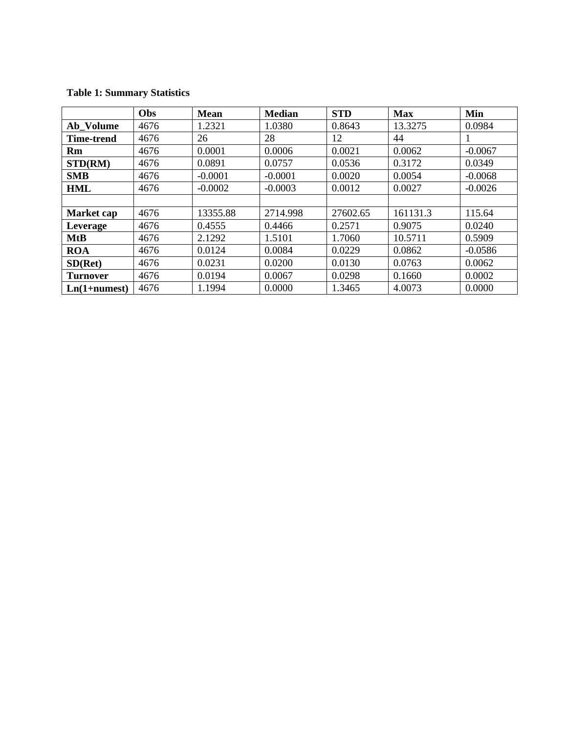# **Table 1: Summary Statistics**

|                   | Obs  | <b>Mean</b> | <b>Median</b> | <b>STD</b> | <b>Max</b> | Min       |
|-------------------|------|-------------|---------------|------------|------------|-----------|
| Ab Volume         | 4676 | 1.2321      | 1.0380        | 0.8643     | 13.3275    | 0.0984    |
| <b>Time-trend</b> | 4676 | 26          | 28            | 12         | 44         |           |
| Rm                | 4676 | 0.0001      | 0.0006        | 0.0021     | 0.0062     | $-0.0067$ |
| STD(RM)           | 4676 | 0.0891      | 0.0757        | 0.0536     | 0.3172     | 0.0349    |
| <b>SMB</b>        | 4676 | $-0.0001$   | $-0.0001$     | 0.0020     | 0.0054     | $-0.0068$ |
| <b>HML</b>        | 4676 | $-0.0002$   | $-0.0003$     | 0.0012     | 0.0027     | $-0.0026$ |
|                   |      |             |               |            |            |           |
| Market cap        | 4676 | 13355.88    | 2714.998      | 27602.65   | 161131.3   | 115.64    |
| Leverage          | 4676 | 0.4555      | 0.4466        | 0.2571     | 0.9075     | 0.0240    |
| <b>MtB</b>        | 4676 | 2.1292      | 1.5101        | 1.7060     | 10.5711    | 0.5909    |
| <b>ROA</b>        | 4676 | 0.0124      | 0.0084        | 0.0229     | 0.0862     | $-0.0586$ |
| SD(Ret)           | 4676 | 0.0231      | 0.0200        | 0.0130     | 0.0763     | 0.0062    |
| <b>Turnover</b>   | 4676 | 0.0194      | 0.0067        | 0.0298     | 0.1660     | 0.0002    |
| $Ln(1+numest)$    | 4676 | 1.1994      | 0.0000        | 1.3465     | 4.0073     | 0.0000    |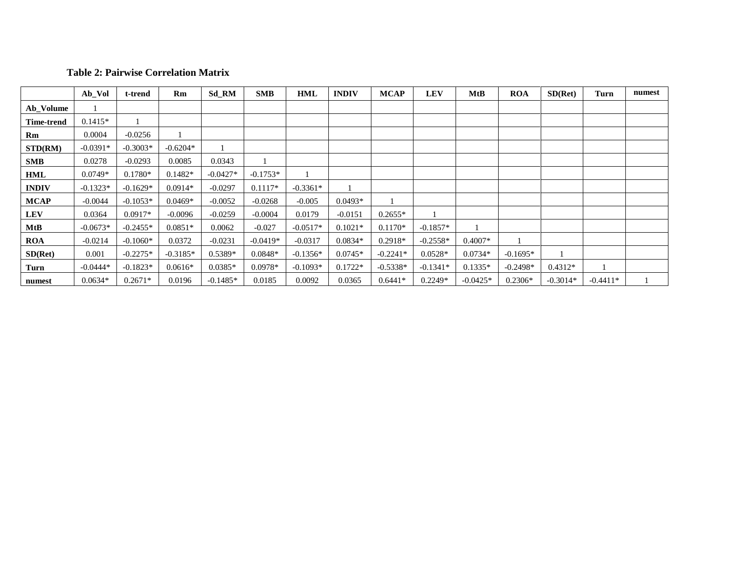#### **Table 2: Pairwise Correlation Matrix**

|              | Ab_Vol     | t-trend    | Rm         | Sd_RM      | <b>SMB</b> | HML        | <b>INDIV</b> | <b>MCAP</b> | <b>LEV</b> | MtB        | <b>ROA</b> | SD(Ret)    | Turn       | numest |
|--------------|------------|------------|------------|------------|------------|------------|--------------|-------------|------------|------------|------------|------------|------------|--------|
| Ab_Volume    |            |            |            |            |            |            |              |             |            |            |            |            |            |        |
| Time-trend   | $0.1415*$  |            |            |            |            |            |              |             |            |            |            |            |            |        |
| Rm           | 0.0004     | $-0.0256$  |            |            |            |            |              |             |            |            |            |            |            |        |
| STD(RM)      | $-0.0391*$ | $-0.3003*$ | $-0.6204*$ |            |            |            |              |             |            |            |            |            |            |        |
| <b>SMB</b>   | 0.0278     | $-0.0293$  | 0.0085     | 0.0343     |            |            |              |             |            |            |            |            |            |        |
| HML          | $0.0749*$  | $0.1780*$  | $0.1482*$  | $-0.0427*$ | $-0.1753*$ |            |              |             |            |            |            |            |            |        |
| <b>INDIV</b> | $-0.1323*$ | $-0.1629*$ | $0.0914*$  | $-0.0297$  | $0.1117*$  | $-0.3361*$ |              |             |            |            |            |            |            |        |
| <b>MCAP</b>  | $-0.0044$  | $-0.1053*$ | $0.0469*$  | $-0.0052$  | $-0.0268$  | $-0.005$   | $0.0493*$    |             |            |            |            |            |            |        |
| <b>LEV</b>   | 0.0364     | $0.0917*$  | $-0.0096$  | $-0.0259$  | $-0.0004$  | 0.0179     | $-0.0151$    | $0.2655*$   |            |            |            |            |            |        |
| MtB          | $-0.0673*$ | $-0.2455*$ | $0.0851*$  | 0.0062     | $-0.027$   | $-0.0517*$ | $0.1021*$    | $0.1170*$   | $-0.1857*$ |            |            |            |            |        |
| <b>ROA</b>   | $-0.0214$  | $-0.1060*$ | 0.0372     | $-0.0231$  | $-0.0419*$ | $-0.0317$  | $0.0834*$    | $0.2918*$   | $-0.2558*$ | $0.4007*$  |            |            |            |        |
| SD(Ret)      | 0.001      | $-0.2275*$ | $-0.3185*$ | $0.5389*$  | $0.0848*$  | $-0.1356*$ | $0.0745*$    | $-0.2241*$  | $0.0528*$  | $0.0734*$  | $-0.1695*$ |            |            |        |
| Turn         | $-0.0444*$ | $-0.1823*$ | $0.0616*$  | $0.0385*$  | $0.0978*$  | $-0.1093*$ | $0.1722*$    | $-0.5338*$  | $-0.1341*$ | $0.1335*$  | $-0.2498*$ | $0.4312*$  |            |        |
| numest       | $0.0634*$  | $0.2671*$  | 0.0196     | $-0.1485*$ | 0.0185     | 0.0092     | 0.0365       | $0.6441*$   | $0.2249*$  | $-0.0425*$ | $0.2306*$  | $-0.3014*$ | $-0.4411*$ |        |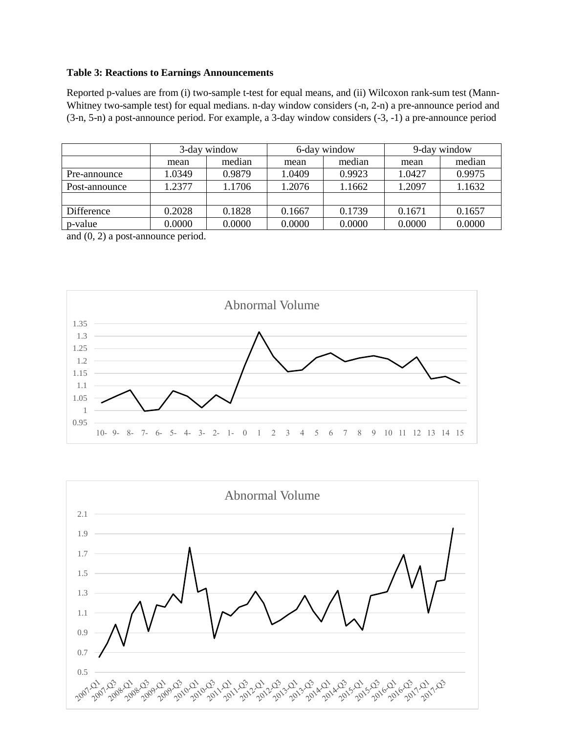#### **Table 3: Reactions to Earnings Announcements**

Reported p-values are from (i) two-sample t-test for equal means, and (ii) Wilcoxon rank-sum test (Mann-Whitney two-sample test) for equal medians. n-day window considers (-n, 2-n) a pre-announce period and (3-n, 5-n) a post-announce period. For example, a 3-day window considers (-3, -1) a pre-announce period

|               |                  | 3-day window |        | 6-day window | 9-day window |        |  |
|---------------|------------------|--------------|--------|--------------|--------------|--------|--|
|               | mean             | median       | mean   | median       | mean         | median |  |
| Pre-announce  | 1.0349           | 0.9879       | 1.0409 | 0.9923       | 1.0427       | 0.9975 |  |
| Post-announce | 1.2377<br>1.1706 |              | 1.2076 | 1.1662       | 1.2097       | 1.1632 |  |
|               |                  |              |        |              |              |        |  |
| Difference    | 0.2028           | 0.1828       | 0.1667 | 0.1739       | 0.1671       | 0.1657 |  |
| p-value       | 0.0000<br>0.0000 |              | 0.0000 | 0.0000       | 0.0000       | 0.0000 |  |

and (0, 2) a post-announce period.



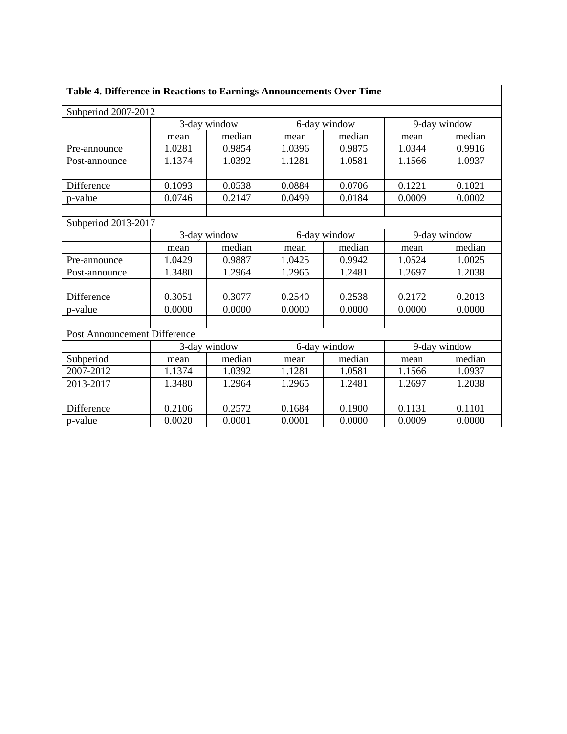| Table 4. Difference in Reactions to Earnings Announcements Over Time |                |        |              |              |              |        |  |
|----------------------------------------------------------------------|----------------|--------|--------------|--------------|--------------|--------|--|
| Subperiod 2007-2012                                                  |                |        |              |              |              |        |  |
|                                                                      | 3-day window   |        |              | 6-day window | 9-day window |        |  |
|                                                                      | median<br>mean |        | mean         | median       | mean         | median |  |
| Pre-announce                                                         | 1.0281         | 0.9854 | 1.0396       | 0.9875       | 1.0344       | 0.9916 |  |
| Post-announce                                                        | 1.1374         | 1.0392 | 1.1281       | 1.0581       | 1.1566       | 1.0937 |  |
|                                                                      |                |        |              |              |              |        |  |
| Difference                                                           | 0.1093         | 0.0538 | 0.0884       | 0.0706       | 0.1221       | 0.1021 |  |
| p-value                                                              | 0.0746         | 0.2147 | 0.0499       | 0.0184       | 0.0009       | 0.0002 |  |
|                                                                      |                |        |              |              |              |        |  |
| Subperiod 2013-2017                                                  |                |        |              |              |              |        |  |
|                                                                      | 3-day window   |        | 6-day window |              | 9-day window |        |  |
|                                                                      | mean           | median | mean         | median       | mean         | median |  |
| Pre-announce                                                         | 1.0429         | 0.9887 | 1.0425       | 0.9942       | 1.0524       | 1.0025 |  |
| Post-announce                                                        | 1.3480         | 1.2964 | 1.2965       | 1.2481       | 1.2697       | 1.2038 |  |
|                                                                      |                |        |              |              |              |        |  |
| Difference                                                           | 0.3051         | 0.3077 | 0.2540       | 0.2538       | 0.2172       | 0.2013 |  |
| p-value                                                              | 0.0000         | 0.0000 | 0.0000       | 0.0000       | 0.0000       | 0.0000 |  |
|                                                                      |                |        |              |              |              |        |  |
| Post Announcement Difference                                         |                |        |              |              |              |        |  |
|                                                                      | 3-day window   |        | 6-day window |              | 9-day window |        |  |
| Subperiod                                                            | mean           | median | mean         | median       | mean         | median |  |
| 2007-2012                                                            | 1.1374         | 1.0392 | 1.1281       | 1.0581       | 1.1566       | 1.0937 |  |
| 2013-2017                                                            | 1.3480         | 1.2964 | 1.2965       | 1.2481       | 1.2697       | 1.2038 |  |
|                                                                      |                |        |              |              |              |        |  |
| Difference                                                           | 0.2106         | 0.2572 | 0.1684       | 0.1900       | 0.1131       | 0.1101 |  |
| p-value                                                              | 0.0020         | 0.0001 | 0.0001       | 0.0000       | 0.0009       | 0.0000 |  |